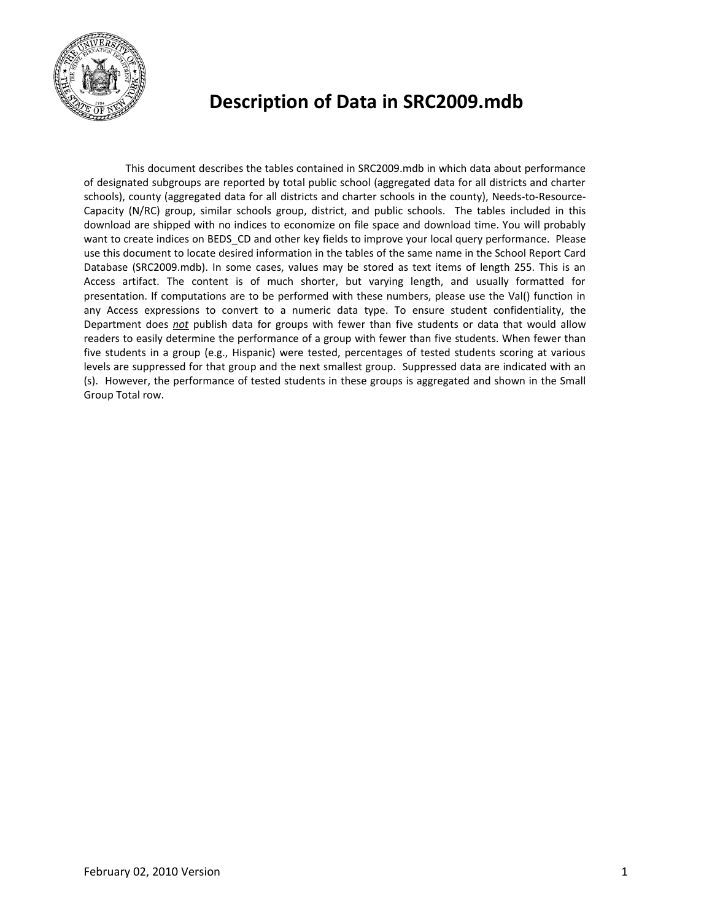

# **Description of Data in SRC2009.mdb**

This document describes the tables contained in SRC2009.mdb in which data about performance of designated subgroups are reported by total public school (aggregated data for all districts and charter schools), county (aggregated data for all districts and charter schools in the county), Needs-to-Resource-Capacity (N/RC) group, similar schools group, district, and public schools. The tables included in this download are shipped with no indices to economize on file space and download time. You will probably want to create indices on BEDS CD and other key fields to improve your local query performance. Please use this document to locate desired information in the tables of the same name in the School Report Card Database (SRC2009.mdb). In some cases, values may be stored as text items of length 255. This is an Access artifact. The content is of much shorter, but varying length, and usually formatted for presentation. If computations are to be performed with these numbers, please use the Val() function in any Access expressions to convert to a numeric data type. To ensure student confidentiality, the Department does *not* publish data for groups with fewer than five students or data that would allow readers to easily determine the performance of a group with fewer than five students. When fewer than five students in a group (e.g., Hispanic) were tested, percentages of tested students scoring at various levels are suppressed for that group and the next smallest group. Suppressed data are indicated with an (s). However, the performance of tested students in these groups is aggregated and shown in the Small Group Total row.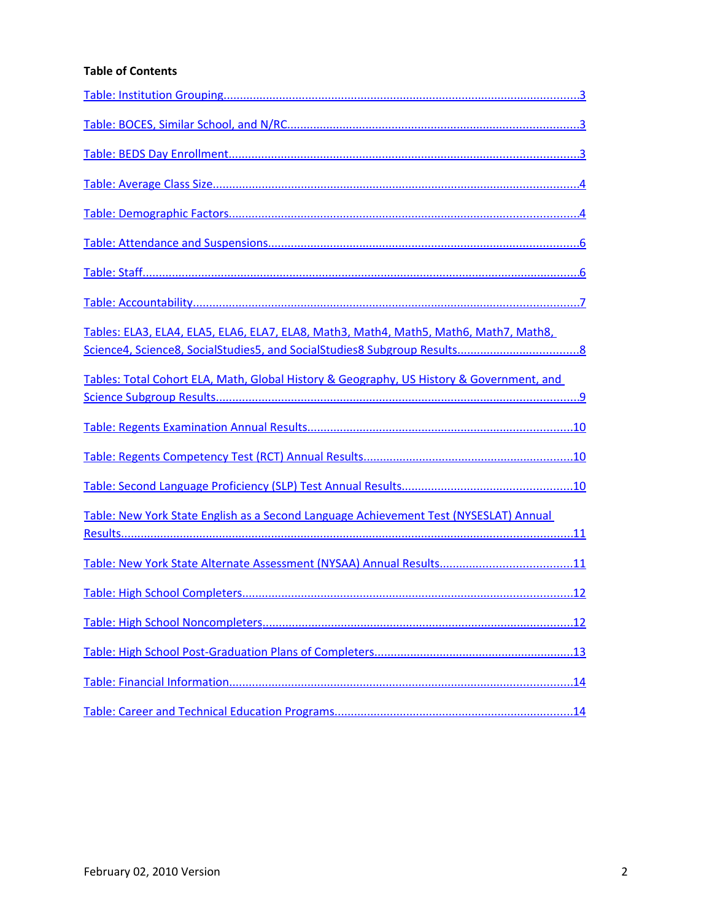#### **Table of Contents**

| Tables: ELA3, ELA4, ELA5, ELA6, ELA7, ELA8, Math3, Math4, Math5, Math6, Math7, Math8,    |
|------------------------------------------------------------------------------------------|
| Tables: Total Cohort ELA, Math, Global History & Geography, US History & Government, and |
|                                                                                          |
|                                                                                          |
|                                                                                          |
|                                                                                          |
| Table: New York State English as a Second Language Achievement Test (NYSESLAT) Annual    |
|                                                                                          |
|                                                                                          |
|                                                                                          |
|                                                                                          |
|                                                                                          |
|                                                                                          |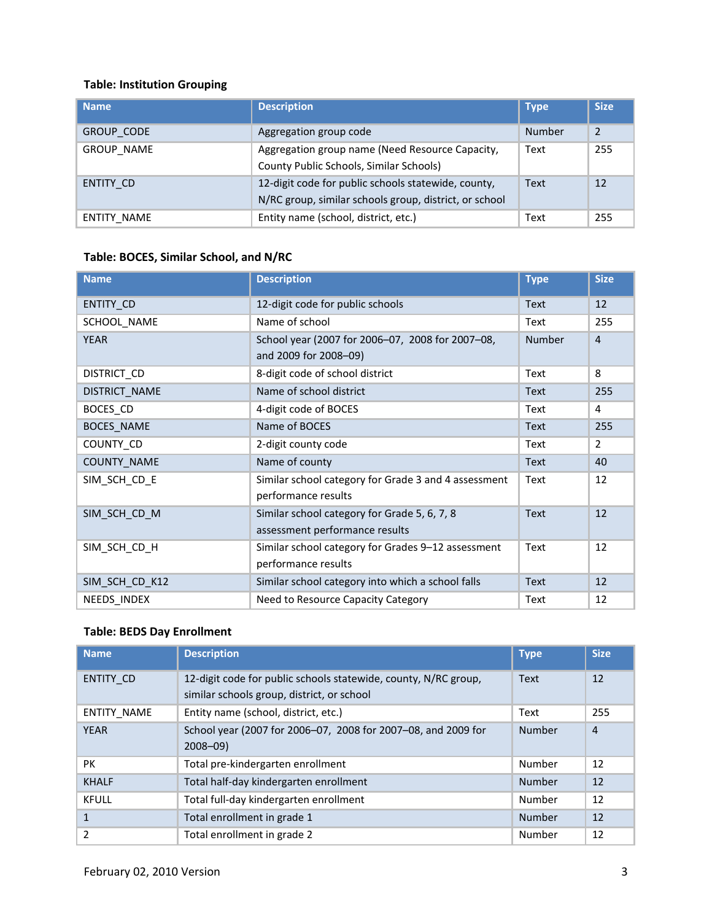## <span id="page-2-0"></span>**Table: Institution Grouping**

| <b>Name</b>        | <b>Description</b>                                                                                            | <b>Type</b>   | <b>Size</b> |
|--------------------|---------------------------------------------------------------------------------------------------------------|---------------|-------------|
| <b>GROUP CODE</b>  | Aggregation group code                                                                                        | <b>Number</b> | 2           |
| <b>GROUP NAME</b>  | Aggregation group name (Need Resource Capacity,<br>County Public Schools, Similar Schools)                    | Text          | 255         |
| ENTITY CD          | 12-digit code for public schools statewide, county,<br>N/RC group, similar schools group, district, or school | <b>Text</b>   | 12          |
| <b>ENTITY NAME</b> | Entity name (school, district, etc.)                                                                          | Text          | 255         |

## <span id="page-2-2"></span>**Table: BOCES, Similar School, and N/RC**

| <b>Name</b>       | <b>Description</b>                                                             | <b>Type</b>   | <b>Size</b>    |
|-------------------|--------------------------------------------------------------------------------|---------------|----------------|
| ENTITY CD         | 12-digit code for public schools                                               | <b>Text</b>   | 12             |
| SCHOOL NAME       | Name of school                                                                 | Text          | 255            |
| <b>YEAR</b>       | School year (2007 for 2006-07, 2008 for 2007-08,<br>and 2009 for 2008-09)      | <b>Number</b> | $\overline{4}$ |
| DISTRICT_CD       | 8-digit code of school district                                                | Text          | 8              |
| DISTRICT NAME     | Name of school district                                                        | <b>Text</b>   | 255            |
| BOCES CD          | 4-digit code of BOCES                                                          | Text          | 4              |
| <b>BOCES_NAME</b> | Name of BOCES                                                                  | <b>Text</b>   | 255            |
| COUNTY_CD         | 2-digit county code                                                            | Text          | $\overline{2}$ |
| COUNTY_NAME       | Name of county                                                                 | Text          | 40             |
| SIM_SCH_CD_E      | Similar school category for Grade 3 and 4 assessment<br>performance results    | Text          | 12             |
| SIM SCH CD M      | Similar school category for Grade 5, 6, 7, 8<br>assessment performance results | Text          | 12             |
| SIM_SCH_CD_H      | Similar school category for Grades 9-12 assessment<br>performance results      | Text          | 12             |
| SIM_SCH_CD_K12    | Similar school category into which a school falls                              | Text          | 12             |
| NEEDS INDEX       | Need to Resource Capacity Category                                             | Text          | 12             |

## <span id="page-2-1"></span>**Table: BEDS Day Enrollment**

| <b>Name</b>  | <b>Description</b>                                                                                            | <b>Type</b>   | <b>Size</b>    |
|--------------|---------------------------------------------------------------------------------------------------------------|---------------|----------------|
| ENTITY CD    | 12-digit code for public schools statewide, county, N/RC group,<br>similar schools group, district, or school | <b>Text</b>   | 12             |
| ENTITY NAME  | Entity name (school, district, etc.)                                                                          | Text          | 255            |
| <b>YEAR</b>  | School year (2007 for 2006-07, 2008 for 2007-08, and 2009 for<br>$2008 - 09$                                  | Number        | $\overline{4}$ |
| <b>PK</b>    | Total pre-kindergarten enrollment                                                                             | Number        | 12             |
| <b>KHALF</b> | Total half-day kindergarten enrollment                                                                        | Number        | 12             |
| <b>KFULL</b> | Total full-day kindergarten enrollment                                                                        | Number        | 12             |
| 1            | Total enrollment in grade 1                                                                                   | <b>Number</b> | 12             |
| 2            | Total enrollment in grade 2                                                                                   | Number        | 12             |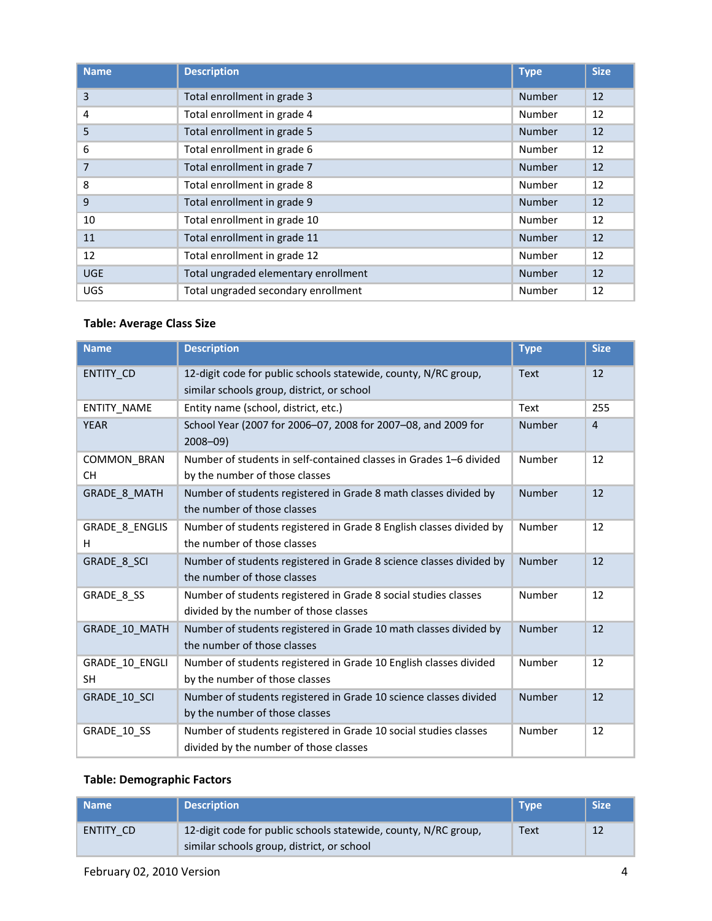| <b>Name</b> | <b>Description</b>                   | <b>Type</b>   | <b>Size</b> |
|-------------|--------------------------------------|---------------|-------------|
| 3           | Total enrollment in grade 3          | <b>Number</b> | 12          |
| 4           | Total enrollment in grade 4          | Number        | 12          |
| 5           | Total enrollment in grade 5          | <b>Number</b> | 12          |
| 6           | Total enrollment in grade 6          | Number        | 12          |
| 7           | Total enrollment in grade 7          | <b>Number</b> | 12          |
| 8           | Total enrollment in grade 8          | Number        | 12          |
| 9           | Total enrollment in grade 9          | <b>Number</b> | 12          |
| 10          | Total enrollment in grade 10         | Number        | 12          |
| 11          | Total enrollment in grade 11         | <b>Number</b> | 12          |
| 12          | Total enrollment in grade 12         | Number        | 12          |
| <b>UGE</b>  | Total ungraded elementary enrollment | <b>Number</b> | 12          |
| <b>UGS</b>  | Total ungraded secondary enrollment  | Number        | 12          |

## <span id="page-3-1"></span>**Table: Average Class Size**

| <b>Name</b>                     | <b>Description</b>                                                                                            | <b>Type</b>   | <b>Size</b>    |
|---------------------------------|---------------------------------------------------------------------------------------------------------------|---------------|----------------|
| <b>ENTITY CD</b>                | 12-digit code for public schools statewide, county, N/RC group,<br>similar schools group, district, or school | Text          | 12             |
| <b>ENTITY NAME</b>              | Entity name (school, district, etc.)                                                                          | Text          | 255            |
| <b>YEAR</b>                     | School Year (2007 for 2006-07, 2008 for 2007-08, and 2009 for<br>$2008 - 09$                                  | Number        | $\overline{4}$ |
| <b>COMMON BRAN</b><br><b>CH</b> | Number of students in self-contained classes in Grades 1–6 divided<br>by the number of those classes          | Number        | 12             |
| <b>GRADE 8 MATH</b>             | Number of students registered in Grade 8 math classes divided by<br>the number of those classes               | <b>Number</b> | 12             |
| <b>GRADE 8 ENGLIS</b><br>H      | Number of students registered in Grade 8 English classes divided by<br>the number of those classes            | Number        | 12             |
| GRADE 8 SCI                     | Number of students registered in Grade 8 science classes divided by<br>the number of those classes            | Number        | 12             |
| GRADE 8 SS                      | Number of students registered in Grade 8 social studies classes<br>divided by the number of those classes     | Number        | 12             |
| GRADE 10 MATH                   | Number of students registered in Grade 10 math classes divided by<br>the number of those classes              | Number        | 12             |
| GRADE 10 ENGLI<br><b>SH</b>     | Number of students registered in Grade 10 English classes divided<br>by the number of those classes           | Number        | 12             |
| GRADE 10 SCI                    | Number of students registered in Grade 10 science classes divided<br>by the number of those classes           | Number        | 12             |
| GRADE_10_SS                     | Number of students registered in Grade 10 social studies classes<br>divided by the number of those classes    | Number        | 12             |

#### <span id="page-3-0"></span>**Table: Demographic Factors**

| Name      | <b>Description</b>                                                                                            | <b>Type</b> | <b>Size</b> |
|-----------|---------------------------------------------------------------------------------------------------------------|-------------|-------------|
| ENTITY CD | 12-digit code for public schools statewide, county, N/RC group,<br>similar schools group, district, or school | Text        | 12          |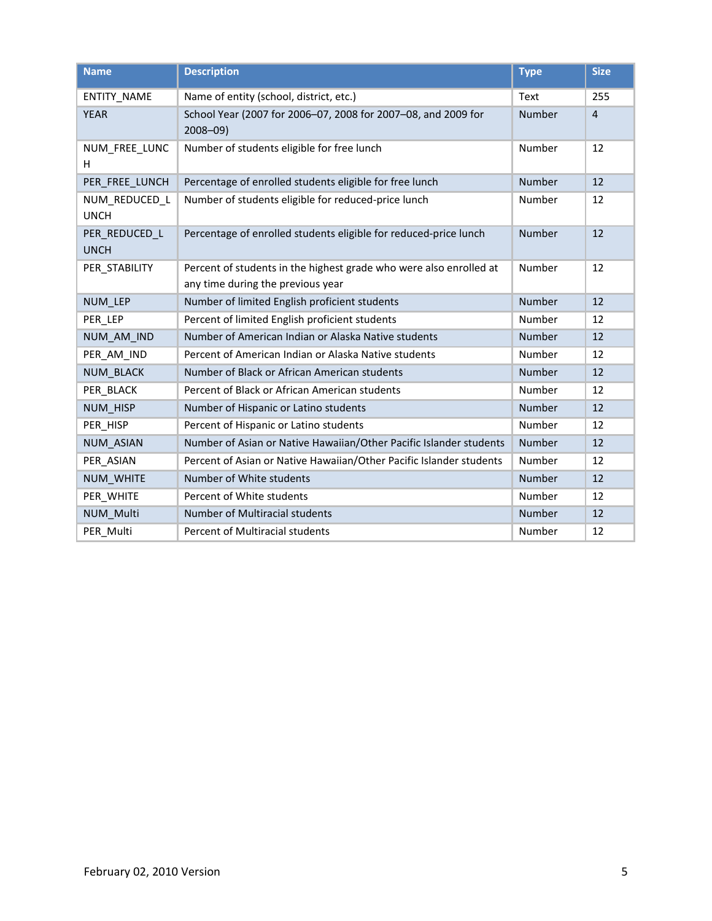| <b>Name</b>                  | <b>Description</b>                                                                                      | <b>Type</b> | <b>Size</b>    |
|------------------------------|---------------------------------------------------------------------------------------------------------|-------------|----------------|
| ENTITY_NAME                  | Name of entity (school, district, etc.)                                                                 | Text        | 255            |
| <b>YEAR</b>                  | School Year (2007 for 2006-07, 2008 for 2007-08, and 2009 for<br>$2008 - 09$                            | Number      | $\overline{4}$ |
| NUM_FREE_LUNC<br>H           | Number of students eligible for free lunch                                                              | Number      | 12             |
| PER FREE LUNCH               | Percentage of enrolled students eligible for free lunch                                                 | Number      | 12             |
| NUM REDUCED L<br><b>UNCH</b> | Number of students eligible for reduced-price lunch                                                     | Number      | 12             |
| PER REDUCED L<br><b>UNCH</b> | Percentage of enrolled students eligible for reduced-price lunch                                        | Number      | 12             |
| PER STABILITY                | Percent of students in the highest grade who were also enrolled at<br>any time during the previous year | Number      | 12             |
| NUM_LEP                      | Number of limited English proficient students                                                           | Number      | 12             |
| PER LEP                      | Percent of limited English proficient students                                                          | Number      | 12             |
| NUM_AM_IND                   | Number of American Indian or Alaska Native students                                                     | Number      | 12             |
| PER AM IND                   | Percent of American Indian or Alaska Native students                                                    | Number      | 12             |
| <b>NUM BLACK</b>             | Number of Black or African American students                                                            | Number      | 12             |
| PER BLACK                    | Percent of Black or African American students                                                           | Number      | 12             |
| <b>NUM HISP</b>              | Number of Hispanic or Latino students                                                                   | Number      | 12             |
| PER HISP                     | Percent of Hispanic or Latino students                                                                  | Number      | 12             |
| <b>NUM ASIAN</b>             | Number of Asian or Native Hawaiian/Other Pacific Islander students                                      | Number      | 12             |
| PER ASIAN                    | Percent of Asian or Native Hawaiian/Other Pacific Islander students                                     | Number      | 12             |
| NUM WHITE                    | Number of White students                                                                                | Number      | 12             |
| PER WHITE                    | Percent of White students                                                                               | Number      | 12             |
| <b>NUM Multi</b>             | <b>Number of Multiracial students</b>                                                                   | Number      | 12             |
| PER_Multi                    | Percent of Multiracial students                                                                         | Number      | 12             |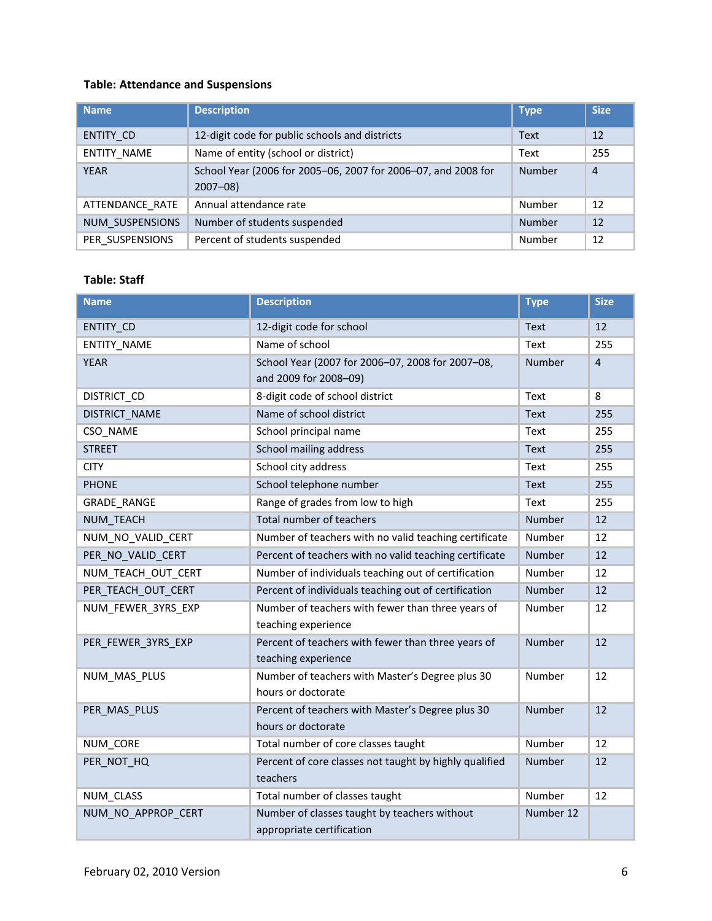## <span id="page-5-1"></span>**Table: Attendance and Suspensions**

| <b>Name</b>        | <b>Description</b>                                                           | <b>Type</b>   | <b>Size</b>    |
|--------------------|------------------------------------------------------------------------------|---------------|----------------|
| ENTITY CD          | 12-digit code for public schools and districts                               | <b>Text</b>   | 12             |
| <b>ENTITY NAME</b> | Name of entity (school or district)                                          | Text          | 255            |
| <b>YEAR</b>        | School Year (2006 for 2005-06, 2007 for 2006-07, and 2008 for<br>$2007 - 08$ | <b>Number</b> | $\overline{4}$ |
| ATTENDANCE RATE    | Annual attendance rate                                                       | Number        | 12             |
| NUM SUSPENSIONS    | Number of students suspended                                                 | <b>Number</b> | 12             |
| PER SUSPENSIONS    | Percent of students suspended                                                | Number        | 12             |

#### <span id="page-5-0"></span>**Table: Staff**

| <b>Name</b>        | <b>Description</b>                                                        | <b>Type</b>   | <b>Size</b> |
|--------------------|---------------------------------------------------------------------------|---------------|-------------|
| ENTITY_CD          | 12-digit code for school                                                  | Text          | 12          |
| ENTITY_NAME        | Name of school                                                            | Text          | 255         |
| <b>YEAR</b>        | School Year (2007 for 2006-07, 2008 for 2007-08,<br>and 2009 for 2008-09) | Number        | $\sqrt{4}$  |
| DISTRICT_CD        | 8-digit code of school district                                           | Text          | 8           |
| DISTRICT_NAME      | Name of school district                                                   | Text          | 255         |
| CSO NAME           | School principal name                                                     | Text          | 255         |
| <b>STREET</b>      | School mailing address                                                    | <b>Text</b>   | 255         |
| <b>CITY</b>        | School city address                                                       | Text          | 255         |
| <b>PHONE</b>       | School telephone number                                                   | Text          | 255         |
| <b>GRADE RANGE</b> | Range of grades from low to high                                          | Text          | 255         |
| <b>NUM TEACH</b>   | Total number of teachers                                                  | <b>Number</b> | 12          |
| NUM_NO_VALID_CERT  | Number of teachers with no valid teaching certificate                     | Number        | 12          |
| PER NO VALID CERT  | Percent of teachers with no valid teaching certificate                    | Number        | 12          |
| NUM TEACH OUT CERT | Number of individuals teaching out of certification                       | Number        | 12          |
| PER TEACH OUT CERT | Percent of individuals teaching out of certification                      | Number        | 12          |
| NUM_FEWER_3YRS_EXP | Number of teachers with fewer than three years of<br>teaching experience  | Number        | 12          |
| PER_FEWER_3YRS_EXP | Percent of teachers with fewer than three years of<br>teaching experience | Number        | 12          |
| NUM MAS PLUS       | Number of teachers with Master's Degree plus 30<br>hours or doctorate     | Number        | 12          |
| PER MAS PLUS       | Percent of teachers with Master's Degree plus 30<br>hours or doctorate    | Number        | 12          |
| NUM CORE           | Total number of core classes taught                                       | Number        | 12          |
| PER_NOT_HQ         | Percent of core classes not taught by highly qualified<br>teachers        | Number        | 12          |
| NUM_CLASS          | Total number of classes taught                                            | Number        | 12          |
| NUM_NO_APPROP_CERT | Number of classes taught by teachers without<br>appropriate certification | Number 12     |             |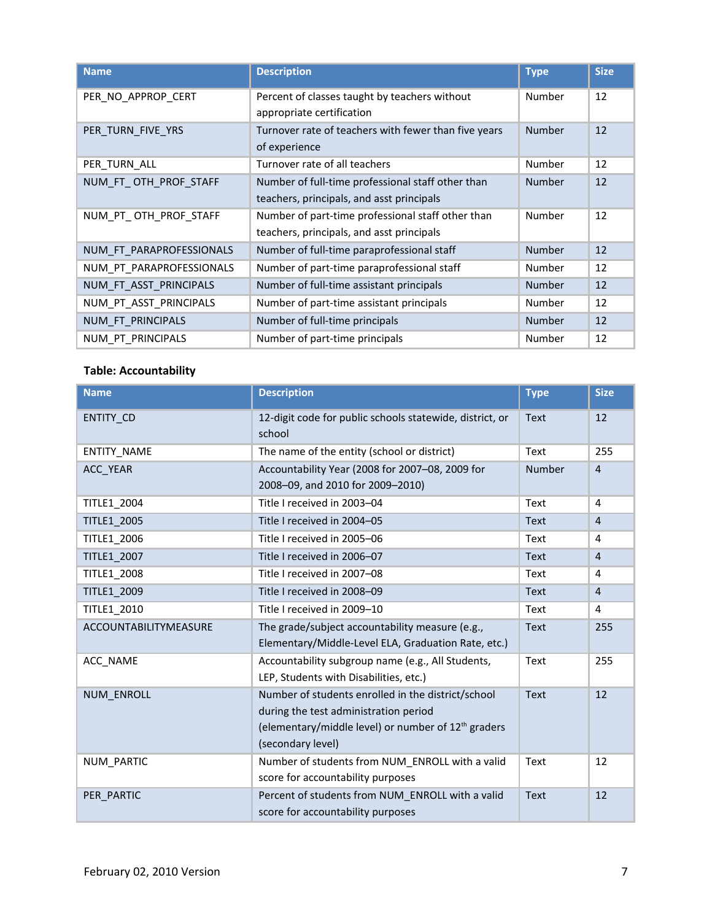| <b>Name</b>              | <b>Description</b>                                   | <b>Type</b>   | <b>Size</b> |
|--------------------------|------------------------------------------------------|---------------|-------------|
| PER_NO_APPROP_CERT       | Percent of classes taught by teachers without        | Number        | 12          |
|                          | appropriate certification                            |               |             |
| PER_TURN_FIVE_YRS        | Turnover rate of teachers with fewer than five years | <b>Number</b> | 12          |
|                          | of experience                                        |               |             |
| PER TURN ALL             | Turnover rate of all teachers                        | Number        | 12          |
| NUM_FT_OTH_PROF_STAFF    | Number of full-time professional staff other than    | <b>Number</b> | 12          |
|                          | teachers, principals, and asst principals            |               |             |
| NUM_PT_OTH_PROF_STAFF    | Number of part-time professional staff other than    | Number        | 12          |
|                          | teachers, principals, and asst principals            |               |             |
| NUM FT PARAPROFESSIONALS | Number of full-time paraprofessional staff           | <b>Number</b> | 12          |
| NUM_PT_PARAPROFESSIONALS | Number of part-time paraprofessional staff           | Number        | 12          |
| NUM_FT_ASST_PRINCIPALS   | Number of full-time assistant principals             | <b>Number</b> | 12          |
| NUM PT ASST PRINCIPALS   | Number of part-time assistant principals             | <b>Number</b> | 12          |
| NUM FT PRINCIPALS        | Number of full-time principals                       | <b>Number</b> | 12          |
| NUM PT PRINCIPALS        | Number of part-time principals                       | Number        | 12          |

#### <span id="page-6-0"></span>**Table: Accountability**

| <b>Name</b>           | <b>Description</b>                                                                                                                                                        | <b>Type</b> | <b>Size</b>    |
|-----------------------|---------------------------------------------------------------------------------------------------------------------------------------------------------------------------|-------------|----------------|
| <b>ENTITY CD</b>      | 12-digit code for public schools statewide, district, or<br>school                                                                                                        | Text        | 12             |
| <b>ENTITY NAME</b>    | The name of the entity (school or district)                                                                                                                               | Text        | 255            |
| ACC YEAR              | Accountability Year (2008 for 2007-08, 2009 for<br>2008-09, and 2010 for 2009-2010)                                                                                       | Number      | $\overline{4}$ |
| <b>TITLE1 2004</b>    | Title I received in 2003-04                                                                                                                                               | Text        | 4              |
| <b>TITLE1 2005</b>    | Title I received in 2004-05                                                                                                                                               | <b>Text</b> | $\overline{4}$ |
| <b>TITLE1 2006</b>    | Title I received in 2005-06                                                                                                                                               | Text        | 4              |
| <b>TITLE1 2007</b>    | Title I received in 2006-07                                                                                                                                               | <b>Text</b> | $\overline{4}$ |
| <b>TITLE1 2008</b>    | Title I received in 2007-08                                                                                                                                               | Text        | 4              |
| <b>TITLE1 2009</b>    | Title I received in 2008-09                                                                                                                                               | <b>Text</b> | $\overline{4}$ |
| <b>TITLE1 2010</b>    | Title I received in 2009-10                                                                                                                                               | Text        | 4              |
| ACCOUNTABILITYMEASURE | The grade/subject accountability measure (e.g.,<br>Elementary/Middle-Level ELA, Graduation Rate, etc.)                                                                    | <b>Text</b> | 255            |
| ACC NAME              | Accountability subgroup name (e.g., All Students,<br>LEP, Students with Disabilities, etc.)                                                                               | Text        | 255            |
| <b>NUM ENROLL</b>     | Number of students enrolled in the district/school<br>during the test administration period<br>(elementary/middle level) or number of $12th$ graders<br>(secondary level) | <b>Text</b> | 12             |
| NUM PARTIC            | Number of students from NUM ENROLL with a valid<br>score for accountability purposes                                                                                      | Text        | 12             |
| PER PARTIC            | Percent of students from NUM ENROLL with a valid<br>score for accountability purposes                                                                                     | <b>Text</b> | 12             |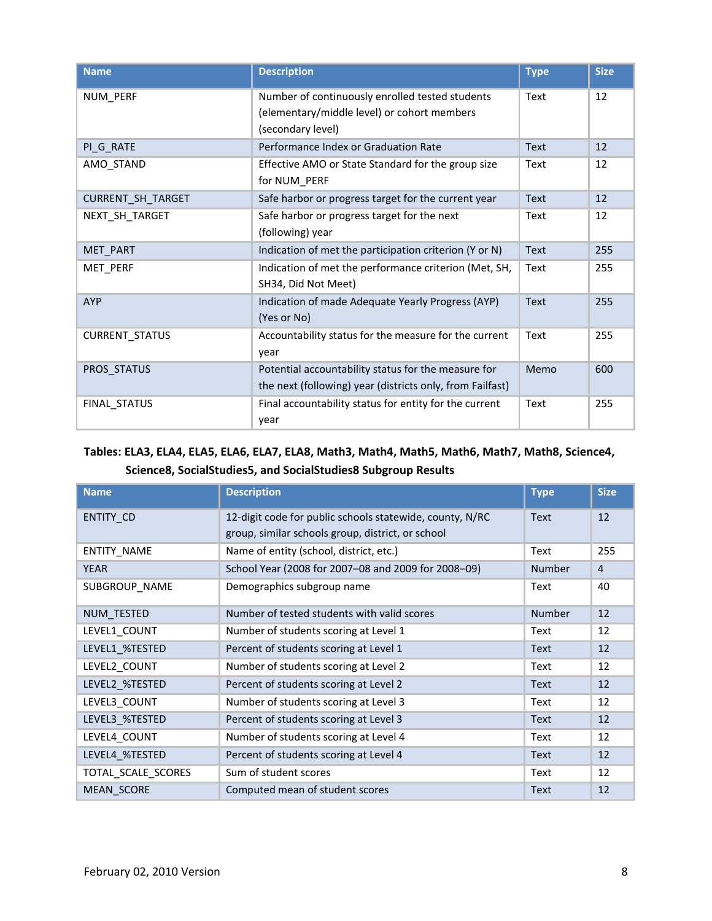| <b>Name</b>           | <b>Description</b>                                                                                                  | <b>Type</b> | <b>Size</b> |
|-----------------------|---------------------------------------------------------------------------------------------------------------------|-------------|-------------|
| NUM_PERF              | Number of continuously enrolled tested students<br>(elementary/middle level) or cohort members<br>(secondary level) | Text        | 12          |
| PI_G_RATE             | Performance Index or Graduation Rate                                                                                | <b>Text</b> | 12          |
| AMO_STAND             | Effective AMO or State Standard for the group size<br>for NUM PERF                                                  | Text        | 12          |
| CURRENT_SH_TARGET     | Safe harbor or progress target for the current year                                                                 | <b>Text</b> | 12          |
| NEXT_SH_TARGET        | Safe harbor or progress target for the next<br>(following) year                                                     | Text        | 12          |
| MET_PART              | Indication of met the participation criterion (Y or N)                                                              | <b>Text</b> | 255         |
| MET_PERF              | Indication of met the performance criterion (Met, SH,<br>SH34, Did Not Meet)                                        | Text        | 255         |
| <b>AYP</b>            | Indication of made Adequate Yearly Progress (AYP)<br>(Yes or No)                                                    | <b>Text</b> | 255         |
| <b>CURRENT_STATUS</b> | Accountability status for the measure for the current<br>year                                                       | Text        | 255         |
| PROS STATUS           | Potential accountability status for the measure for<br>the next (following) year (districts only, from Failfast)    | Memo        | 600         |
| FINAL_STATUS          | Final accountability status for entity for the current<br>year                                                      | Text        | 255         |

# <span id="page-7-0"></span>**Tables: ELA3, ELA4, ELA5, ELA6, ELA7, ELA8, Math3, Math4, Math5, Math6, Math7, Math8, Science4, Science8, SocialStudies5, and SocialStudies8 Subgroup Results**

| <b>Name</b>        | <b>Description</b>                                       | <b>Type</b>   | <b>Size</b>    |
|--------------------|----------------------------------------------------------|---------------|----------------|
| ENTITY_CD          | 12-digit code for public schools statewide, county, N/RC | <b>Text</b>   | 12             |
|                    | group, similar schools group, district, or school        |               |                |
| ENTITY NAME        | Name of entity (school, district, etc.)                  | Text          | 255            |
| <b>YEAR</b>        | School Year (2008 for 2007-08 and 2009 for 2008-09)      | <b>Number</b> | $\overline{4}$ |
| SUBGROUP_NAME      | Demographics subgroup name                               | Text          | 40             |
| NUM TESTED         | Number of tested students with valid scores              | <b>Number</b> | 12             |
| LEVEL1 COUNT       | Number of students scoring at Level 1                    | Text          | 12             |
| LEVEL1_%TESTED     | Percent of students scoring at Level 1                   | Text          | 12             |
| LEVEL2 COUNT       | Number of students scoring at Level 2                    | Text          | 12             |
| LEVEL2 %TESTED     | Percent of students scoring at Level 2                   | Text          | 12             |
| LEVEL3 COUNT       | Number of students scoring at Level 3                    | Text          | 12             |
| LEVEL3 %TESTED     | Percent of students scoring at Level 3                   | <b>Text</b>   | 12             |
| LEVEL4 COUNT       | Number of students scoring at Level 4                    | Text          | 12             |
| LEVEL4 %TESTED     | Percent of students scoring at Level 4                   | Text          | 12             |
| TOTAL SCALE SCORES | Sum of student scores                                    | Text          | 12             |
| <b>MEAN SCORE</b>  | Computed mean of student scores                          | <b>Text</b>   | 12             |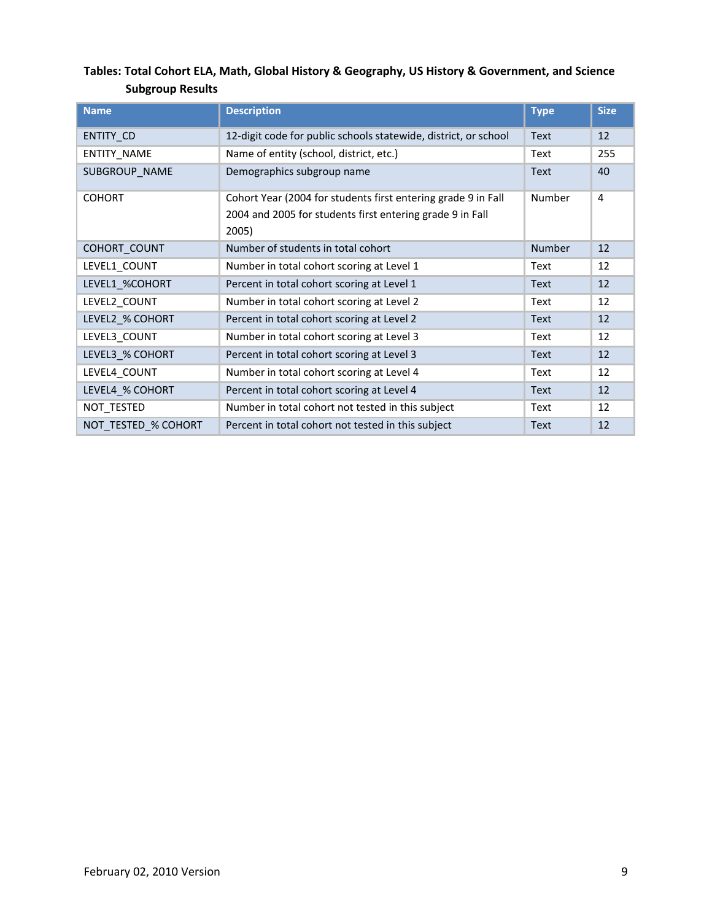# <span id="page-8-0"></span>**Tables: Total Cohort ELA, Math, Global History & Geography, US History & Government, and Science Subgroup Results**

| <b>Name</b>         | <b>Description</b>                                                                                                                  | <b>Type</b>   | <b>Size</b>    |
|---------------------|-------------------------------------------------------------------------------------------------------------------------------------|---------------|----------------|
| <b>ENTITY CD</b>    | 12-digit code for public schools statewide, district, or school                                                                     | <b>Text</b>   | 12             |
| <b>ENTITY NAME</b>  | Name of entity (school, district, etc.)                                                                                             | Text          | 255            |
| SUBGROUP NAME       | Demographics subgroup name                                                                                                          | <b>Text</b>   | 40             |
| <b>COHORT</b>       | Cohort Year (2004 for students first entering grade 9 in Fall<br>2004 and 2005 for students first entering grade 9 in Fall<br>2005) | Number        | $\overline{4}$ |
| COHORT_COUNT        | Number of students in total cohort                                                                                                  | <b>Number</b> | 12             |
| LEVEL1 COUNT        | Number in total cohort scoring at Level 1                                                                                           | Text          | 12             |
| LEVEL1 %COHORT      | Percent in total cohort scoring at Level 1                                                                                          | Text          | 12             |
| LEVEL2 COUNT        | Number in total cohort scoring at Level 2                                                                                           | Text          | 12             |
| LEVEL2_% COHORT     | Percent in total cohort scoring at Level 2                                                                                          | Text          | 12             |
| LEVEL3_COUNT        | Number in total cohort scoring at Level 3                                                                                           | Text          | 12             |
| LEVEL3 % COHORT     | Percent in total cohort scoring at Level 3                                                                                          | Text          | 12             |
| LEVEL4_COUNT        | Number in total cohort scoring at Level 4                                                                                           | Text          | 12             |
| LEVEL4 % COHORT     | Percent in total cohort scoring at Level 4                                                                                          | Text          | 12             |
| NOT_TESTED          | Number in total cohort not tested in this subject                                                                                   | Text          | 12             |
| NOT TESTED % COHORT | Percent in total cohort not tested in this subject                                                                                  | <b>Text</b>   | 12             |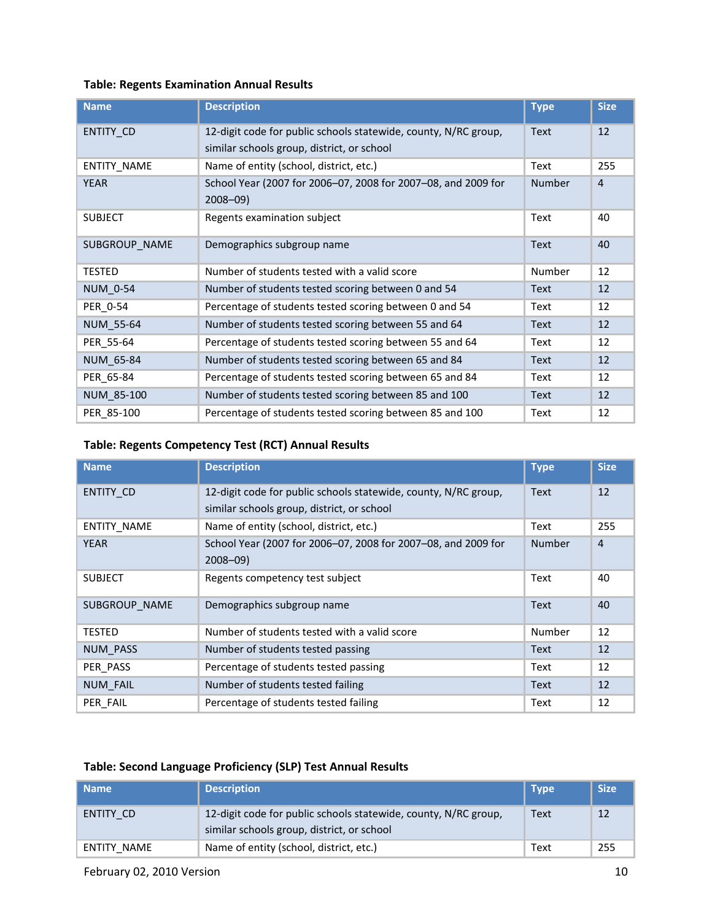#### <span id="page-9-2"></span>**Table: Regents Examination Annual Results**

| <b>Name</b>      | <b>Description</b>                                                                                            | <b>Type</b>   | <b>Size</b>    |
|------------------|---------------------------------------------------------------------------------------------------------------|---------------|----------------|
| ENTITY CD        | 12-digit code for public schools statewide, county, N/RC group,<br>similar schools group, district, or school | <b>Text</b>   | 12             |
| ENTITY_NAME      | Name of entity (school, district, etc.)                                                                       | Text          | 255            |
| YEAR             | School Year (2007 for 2006-07, 2008 for 2007-08, and 2009 for<br>$2008 - 09$                                  | <b>Number</b> | $\overline{4}$ |
| <b>SUBJECT</b>   | Regents examination subject                                                                                   | Text          | 40             |
| SUBGROUP_NAME    | Demographics subgroup name                                                                                    | <b>Text</b>   | 40             |
| <b>TESTED</b>    | Number of students tested with a valid score                                                                  | Number        | 12             |
| <b>NUM 0-54</b>  | Number of students tested scoring between 0 and 54                                                            | Text          | 12             |
| PER_0-54         | Percentage of students tested scoring between 0 and 54                                                        | Text          | 12             |
| <b>NUM 55-64</b> | Number of students tested scoring between 55 and 64                                                           | Text          | 12             |
| PER 55-64        | Percentage of students tested scoring between 55 and 64                                                       | Text          | 12             |
| NUM 65-84        | Number of students tested scoring between 65 and 84                                                           | Text          | 12             |
| PER 65-84        | Percentage of students tested scoring between 65 and 84                                                       | Text          | 12             |
| NUM 85-100       | Number of students tested scoring between 85 and 100                                                          | <b>Text</b>   | 12             |
| PER 85-100       | Percentage of students tested scoring between 85 and 100                                                      | Text          | 12             |

## <span id="page-9-1"></span>**Table: Regents Competency Test (RCT) Annual Results**

| <b>Name</b>     | <b>Description</b>                                              | <b>Type</b>   | <b>Size</b>    |
|-----------------|-----------------------------------------------------------------|---------------|----------------|
| ENTITY_CD       | 12-digit code for public schools statewide, county, N/RC group, | <b>Text</b>   | 12             |
|                 | similar schools group, district, or school                      |               |                |
| ENTITY_NAME     | Name of entity (school, district, etc.)                         | Text          | 255            |
| <b>YEAR</b>     | School Year (2007 for 2006-07, 2008 for 2007-08, and 2009 for   | <b>Number</b> | $\overline{4}$ |
|                 | $2008 - 09$                                                     |               |                |
| <b>SUBJECT</b>  | Regents competency test subject                                 | Text          | 40             |
| SUBGROUP NAME   | Demographics subgroup name                                      | <b>Text</b>   | 40             |
| TESTED          | Number of students tested with a valid score                    | Number        | 12             |
| NUM PASS        | Number of students tested passing                               | <b>Text</b>   | 12             |
| PER PASS        | Percentage of students tested passing                           | Text          | 12             |
| <b>NUM FAIL</b> | Number of students tested failing                               | <b>Text</b>   | 12             |
| PER FAIL        | Percentage of students tested failing                           | Text          | 12             |

#### <span id="page-9-0"></span>**Table: Second Language Proficiency (SLP) Test Annual Results**

| l Name      | <b>Description</b>                                                                                            | <b>Type</b> | <b>Size</b> |
|-------------|---------------------------------------------------------------------------------------------------------------|-------------|-------------|
| ENTITY CD   | 12-digit code for public schools statewide, county, N/RC group,<br>similar schools group, district, or school | Text        | 12          |
| ENTITY NAME | Name of entity (school, district, etc.)                                                                       | Text        | 255         |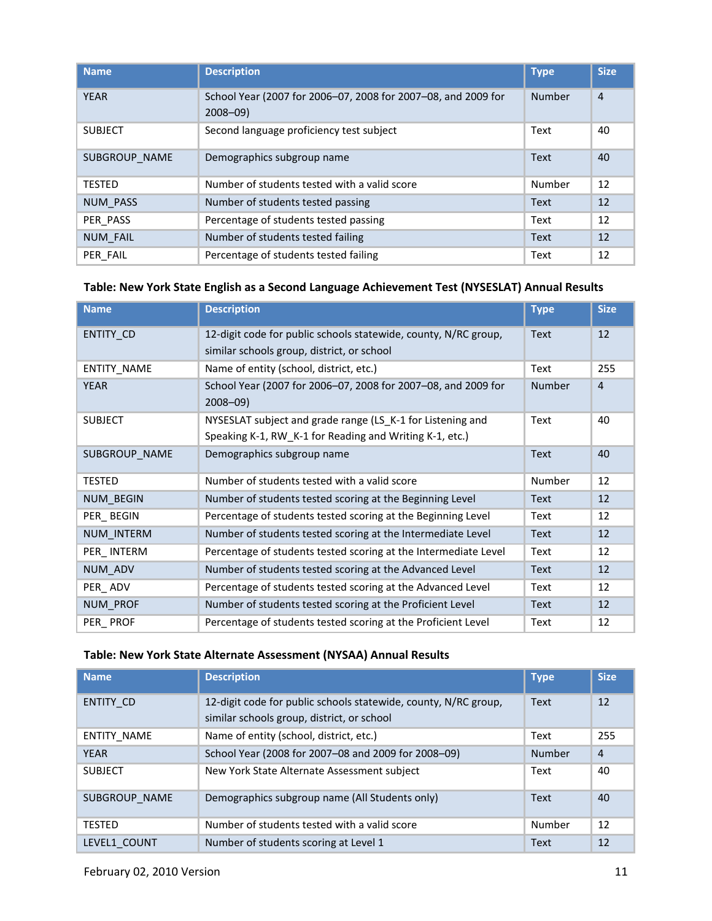| <b>Name</b>     | <b>Description</b>                                                           | <b>Type</b>   | <b>Size</b>    |
|-----------------|------------------------------------------------------------------------------|---------------|----------------|
| <b>YEAR</b>     | School Year (2007 for 2006-07, 2008 for 2007-08, and 2009 for<br>$2008 - 09$ | <b>Number</b> | $\overline{4}$ |
| <b>SUBJECT</b>  | Second language proficiency test subject                                     | Text          | 40             |
| SUBGROUP NAME   | Demographics subgroup name                                                   | <b>Text</b>   | 40             |
| <b>TESTED</b>   | Number of students tested with a valid score                                 | Number        | 12             |
| <b>NUM PASS</b> | Number of students tested passing                                            | <b>Text</b>   | 12             |
| PER PASS        | Percentage of students tested passing                                        | Text          | 12             |
| <b>NUM FAIL</b> | Number of students tested failing                                            | <b>Text</b>   | 12             |
| PER FAIL        | Percentage of students tested failing                                        | Text          | 12             |

#### <span id="page-10-1"></span>**Table: New York State English as a Second Language Achievement Test (NYSESLAT) Annual Results**

| <b>Name</b>      | <b>Description</b>                                                                                                    | <b>Type</b>   | <b>Size</b> |
|------------------|-----------------------------------------------------------------------------------------------------------------------|---------------|-------------|
| ENTITY_CD        | 12-digit code for public schools statewide, county, N/RC group,<br>similar schools group, district, or school         | <b>Text</b>   | 12          |
| ENTITY_NAME      | Name of entity (school, district, etc.)                                                                               | Text          | 255         |
| <b>YEAR</b>      | School Year (2007 for 2006-07, 2008 for 2007-08, and 2009 for<br>$2008 - 09$                                          | <b>Number</b> | 4           |
| <b>SUBJECT</b>   | NYSESLAT subject and grade range (LS K-1 for Listening and<br>Speaking K-1, RW_K-1 for Reading and Writing K-1, etc.) | Text          | 40          |
| SUBGROUP NAME    | Demographics subgroup name                                                                                            | <b>Text</b>   | 40          |
| TESTED           | Number of students tested with a valid score                                                                          | Number        | 12          |
| <b>NUM BEGIN</b> | Number of students tested scoring at the Beginning Level                                                              | <b>Text</b>   | 12          |
| PER BEGIN        | Percentage of students tested scoring at the Beginning Level                                                          | Text          | 12          |
| NUM INTERM       | Number of students tested scoring at the Intermediate Level                                                           | <b>Text</b>   | 12          |
| PER INTERM       | Percentage of students tested scoring at the Intermediate Level                                                       | Text          | 12          |
| NUM ADV          | Number of students tested scoring at the Advanced Level                                                               | <b>Text</b>   | 12          |
| PER_ADV          | Percentage of students tested scoring at the Advanced Level                                                           | Text          | 12          |
| NUM_PROF         | Number of students tested scoring at the Proficient Level                                                             | <b>Text</b>   | 12          |
| PER_PROF         | Percentage of students tested scoring at the Proficient Level                                                         | Text          | 12          |

## <span id="page-10-0"></span>**Table: New York State Alternate Assessment (NYSAA) Annual Results**

| <b>Name</b>        | <b>Description</b>                                                                                            | <b>Type</b>   | <b>Size</b>    |
|--------------------|---------------------------------------------------------------------------------------------------------------|---------------|----------------|
| ENTITY CD          | 12-digit code for public schools statewide, county, N/RC group,<br>similar schools group, district, or school | <b>Text</b>   | 12             |
| <b>ENTITY NAME</b> | Name of entity (school, district, etc.)                                                                       | Text          | 255            |
| <b>YEAR</b>        | School Year (2008 for 2007-08 and 2009 for 2008-09)                                                           | <b>Number</b> | $\overline{4}$ |
| <b>SUBJECT</b>     | New York State Alternate Assessment subject                                                                   | Text          | 40             |
| SUBGROUP NAME      | Demographics subgroup name (All Students only)                                                                | <b>Text</b>   | 40             |
| <b>TESTED</b>      | Number of students tested with a valid score                                                                  | Number        | 12             |
| LEVEL1 COUNT       | Number of students scoring at Level 1                                                                         | <b>Text</b>   | 12             |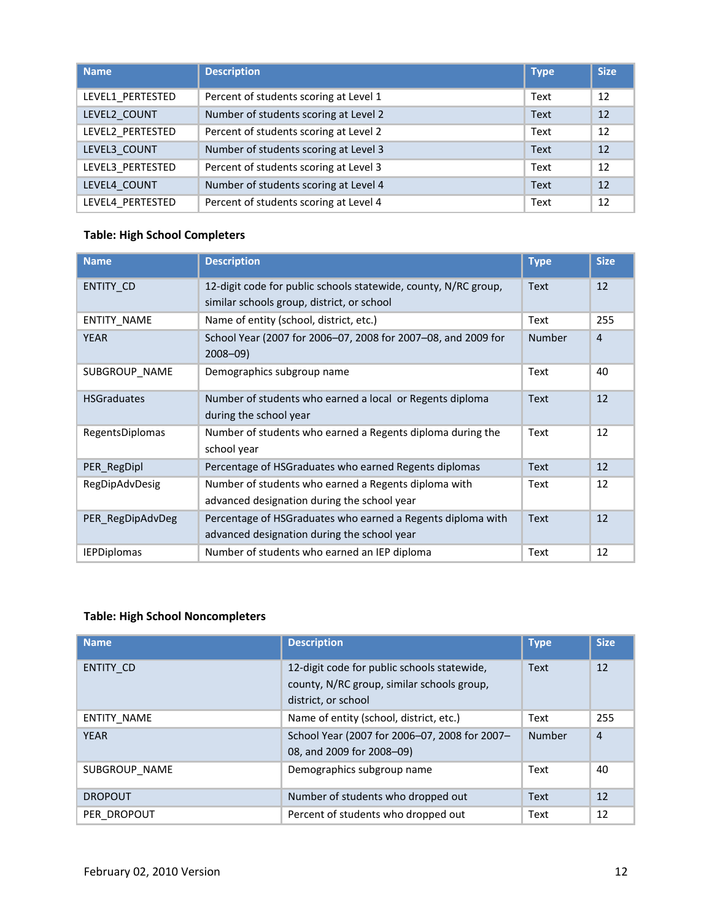| <b>Name</b>      | <b>Description</b>                     | <b>Type</b> | Size: |
|------------------|----------------------------------------|-------------|-------|
| LEVEL1 PERTESTED | Percent of students scoring at Level 1 | Text        | 12    |
| LEVEL2 COUNT     | Number of students scoring at Level 2  | <b>Text</b> | 12    |
| LEVEL2_PERTESTED | Percent of students scoring at Level 2 | Text        | 12    |
| LEVEL3 COUNT     | Number of students scoring at Level 3  | <b>Text</b> | 12    |
| LEVEL3 PERTESTED | Percent of students scoring at Level 3 | Text        | 12    |
| LEVEL4 COUNT     | Number of students scoring at Level 4  | <b>Text</b> | 12    |
| LEVEL4 PERTESTED | Percent of students scoring at Level 4 | Text        | 12    |

## <span id="page-11-1"></span>**Table: High School Completers**

| <b>Name</b>        | <b>Description</b>                                                                                            | <b>Type</b>   | <b>Size</b> |
|--------------------|---------------------------------------------------------------------------------------------------------------|---------------|-------------|
| <b>ENTITY CD</b>   | 12-digit code for public schools statewide, county, N/RC group,<br>similar schools group, district, or school | Text          | 12          |
| ENTITY_NAME        | Name of entity (school, district, etc.)                                                                       | Text          | 255         |
| <b>YEAR</b>        | School Year (2007 for 2006–07, 2008 for 2007–08, and 2009 for<br>$2008 - 09$                                  | <b>Number</b> | 4           |
| SUBGROUP_NAME      | Demographics subgroup name                                                                                    | Text          | 40          |
| <b>HSGraduates</b> | Number of students who earned a local or Regents diploma<br>during the school year                            | <b>Text</b>   | 12          |
| RegentsDiplomas    | Number of students who earned a Regents diploma during the<br>school year                                     | Text          | 12          |
| PER RegDipl        | Percentage of HSGraduates who earned Regents diplomas                                                         | <b>Text</b>   | 12          |
| RegDipAdvDesig     | Number of students who earned a Regents diploma with<br>advanced designation during the school year           | Text          | 12          |
| PER RegDipAdvDeg   | Percentage of HSGraduates who earned a Regents diploma with<br>advanced designation during the school year    | <b>Text</b>   | 12          |
| <b>IEPDiplomas</b> | Number of students who earned an IEP diploma                                                                  | Text          | 12          |

# <span id="page-11-0"></span>**Table: High School Noncompleters**

| <b>Name</b>      | <b>Description</b>                                                                                               | <b>Type</b>   | <b>Size</b>    |
|------------------|------------------------------------------------------------------------------------------------------------------|---------------|----------------|
| <b>ENTITY CD</b> | 12-digit code for public schools statewide,<br>county, N/RC group, similar schools group,<br>district, or school | <b>Text</b>   | 12             |
| ENTITY NAME      | Name of entity (school, district, etc.)                                                                          | Text          | 255            |
| <b>YEAR</b>      | School Year (2007 for 2006-07, 2008 for 2007-<br>08, and 2009 for 2008-09)                                       | <b>Number</b> | $\overline{4}$ |
| SUBGROUP NAME    | Demographics subgroup name                                                                                       | Text          | 40             |
| <b>DROPOUT</b>   | Number of students who dropped out                                                                               | <b>Text</b>   | 12             |
| PER DROPOUT      | Percent of students who dropped out                                                                              | Text          | 12             |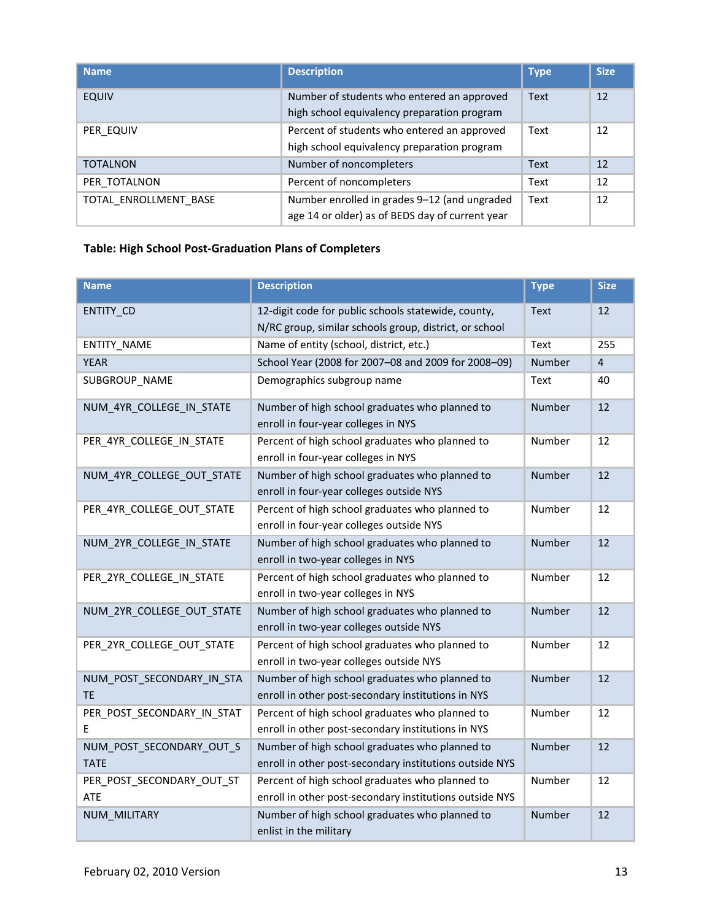| <b>Name</b>           | <b>Description</b>                                                                              | <b>Type</b> | <b>Size</b> |
|-----------------------|-------------------------------------------------------------------------------------------------|-------------|-------------|
| <b>EQUIV</b>          | Number of students who entered an approved<br>high school equivalency preparation program       | Text        | 12          |
| PER EQUIV             | Percent of students who entered an approved<br>high school equivalency preparation program      | Text        | 12          |
| <b>TOTALNON</b>       | Number of noncompleters                                                                         | <b>Text</b> | 12          |
| PER TOTALNON          | Percent of noncompleters                                                                        | Text        | 12          |
| TOTAL ENROLLMENT BASE | Number enrolled in grades 9-12 (and ungraded<br>age 14 or older) as of BEDS day of current year | Text        | 12          |

## <span id="page-12-0"></span>**Table: High School Post-Graduation Plans of Completers**

| <b>Name</b>                             | <b>Description</b>                                                                                            | <b>Type</b>   | <b>Size</b>    |
|-----------------------------------------|---------------------------------------------------------------------------------------------------------------|---------------|----------------|
| ENTITY_CD                               | 12-digit code for public schools statewide, county,<br>N/RC group, similar schools group, district, or school | <b>Text</b>   | 12             |
| ENTITY_NAME                             | Name of entity (school, district, etc.)                                                                       | Text          | 255            |
| <b>YEAR</b>                             | School Year (2008 for 2007-08 and 2009 for 2008-09)                                                           | Number        | $\overline{4}$ |
| SUBGROUP NAME                           | Demographics subgroup name                                                                                    | Text          | 40             |
| NUM 4YR COLLEGE IN STATE                | Number of high school graduates who planned to<br>enroll in four-year colleges in NYS                         | Number        | 12             |
| PER_4YR_COLLEGE_IN_STATE                | Percent of high school graduates who planned to<br>enroll in four-year colleges in NYS                        | Number        | 12             |
| NUM_4YR_COLLEGE_OUT_STATE               | Number of high school graduates who planned to<br>enroll in four-year colleges outside NYS                    | Number        | 12             |
| PER_4YR_COLLEGE_OUT_STATE               | Percent of high school graduates who planned to<br>enroll in four-year colleges outside NYS                   | Number        | 12             |
| NUM_2YR_COLLEGE_IN_STATE                | Number of high school graduates who planned to<br>enroll in two-year colleges in NYS                          | Number        | 12             |
| PER 2YR COLLEGE IN STATE                | Percent of high school graduates who planned to<br>enroll in two-year colleges in NYS                         | Number        | 12             |
| NUM_2YR_COLLEGE_OUT_STATE               | Number of high school graduates who planned to<br>enroll in two-year colleges outside NYS                     | Number        | 12             |
| PER_2YR_COLLEGE_OUT_STATE               | Percent of high school graduates who planned to<br>enroll in two-year colleges outside NYS                    | Number        | 12             |
| NUM_POST_SECONDARY_IN_STA<br><b>TE</b>  | Number of high school graduates who planned to<br>enroll in other post-secondary institutions in NYS          | <b>Number</b> | 12             |
| PER_POST_SECONDARY_IN_STAT<br>F         | Percent of high school graduates who planned to<br>enroll in other post-secondary institutions in NYS         | Number        | 12             |
| NUM POST SECONDARY OUT S<br><b>TATE</b> | Number of high school graduates who planned to<br>enroll in other post-secondary institutions outside NYS     | Number        | 12             |
| PER_POST_SECONDARY_OUT_ST<br>ATE        | Percent of high school graduates who planned to<br>enroll in other post-secondary institutions outside NYS    | Number        | 12             |
| NUM MILITARY                            | Number of high school graduates who planned to<br>enlist in the military                                      | Number        | 12             |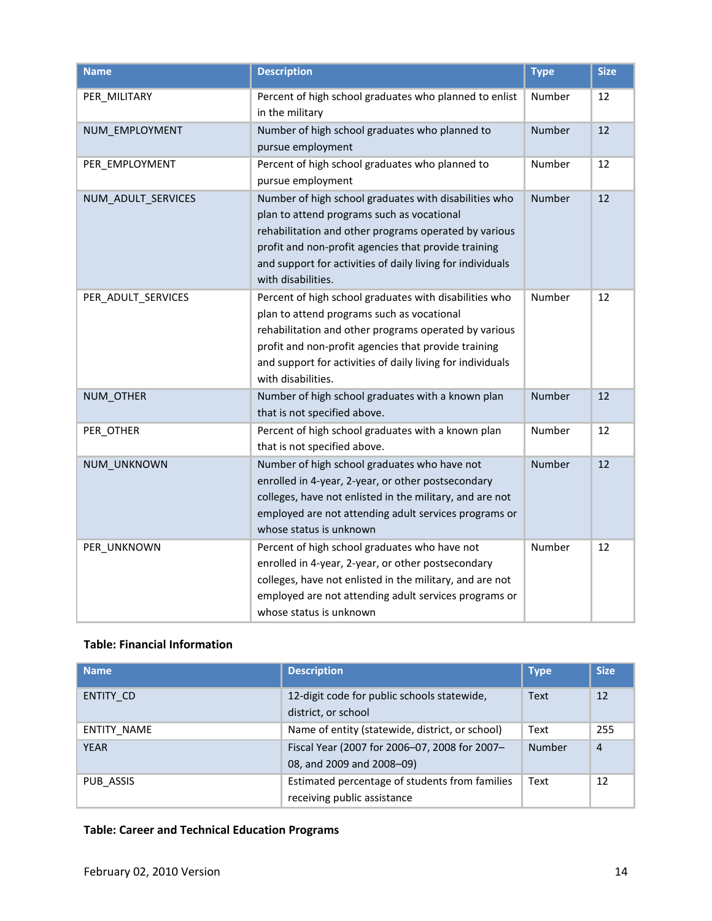| <b>Name</b>        | <b>Description</b>                                                                                                                                                                                                                                                                                        | <b>Type</b>   | <b>Size</b> |
|--------------------|-----------------------------------------------------------------------------------------------------------------------------------------------------------------------------------------------------------------------------------------------------------------------------------------------------------|---------------|-------------|
| PER_MILITARY       | Percent of high school graduates who planned to enlist<br>in the military                                                                                                                                                                                                                                 | Number        | 12          |
| NUM_EMPLOYMENT     | Number of high school graduates who planned to<br>pursue employment                                                                                                                                                                                                                                       | Number        | 12          |
| PER EMPLOYMENT     | Percent of high school graduates who planned to<br>pursue employment                                                                                                                                                                                                                                      | Number        | 12          |
| NUM_ADULT_SERVICES | Number of high school graduates with disabilities who<br>plan to attend programs such as vocational<br>rehabilitation and other programs operated by various<br>profit and non-profit agencies that provide training<br>and support for activities of daily living for individuals<br>with disabilities.  | <b>Number</b> | 12          |
| PER_ADULT_SERVICES | Percent of high school graduates with disabilities who<br>plan to attend programs such as vocational<br>rehabilitation and other programs operated by various<br>profit and non-profit agencies that provide training<br>and support for activities of daily living for individuals<br>with disabilities. | Number        | 12          |
| NUM_OTHER          | Number of high school graduates with a known plan<br>that is not specified above.                                                                                                                                                                                                                         | Number        | 12          |
| PER_OTHER          | Percent of high school graduates with a known plan<br>that is not specified above.                                                                                                                                                                                                                        | Number        | 12          |
| NUM_UNKNOWN        | Number of high school graduates who have not<br>enrolled in 4-year, 2-year, or other postsecondary<br>colleges, have not enlisted in the military, and are not<br>employed are not attending adult services programs or<br>whose status is unknown                                                        | <b>Number</b> | 12          |
| PER_UNKNOWN        | Percent of high school graduates who have not<br>enrolled in 4-year, 2-year, or other postsecondary<br>colleges, have not enlisted in the military, and are not<br>employed are not attending adult services programs or<br>whose status is unknown                                                       | Number        | 12          |

# <span id="page-13-1"></span>**Table: Financial Information**

| <b>Name</b>        | <b>Description</b>                                                            | <b>Type</b> | <b>Size</b>    |
|--------------------|-------------------------------------------------------------------------------|-------------|----------------|
| ENTITY CD          | 12-digit code for public schools statewide,<br>district, or school            | <b>Text</b> | 12             |
| <b>ENTITY NAME</b> | Name of entity (statewide, district, or school)                               | Text        | 255            |
| <b>YEAR</b>        | Fiscal Year (2007 for 2006-07, 2008 for 2007-<br>08, and 2009 and 2008-09)    | Number      | $\overline{4}$ |
| PUB ASSIS          | Estimated percentage of students from families<br>receiving public assistance | Text        | 12             |

## <span id="page-13-0"></span>**Table: Career and Technical Education Programs**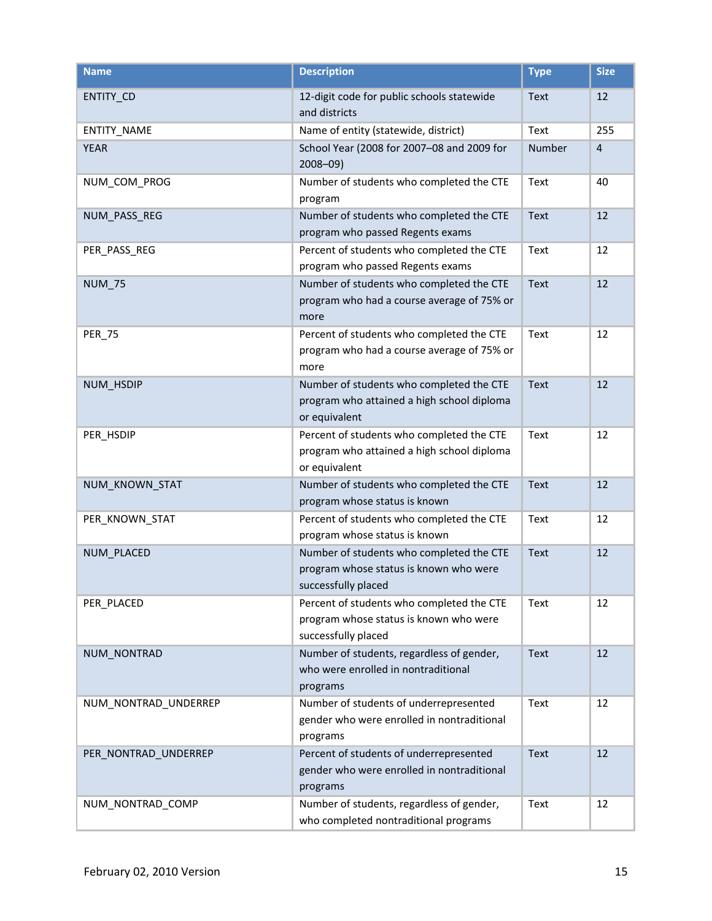| <b>Name</b>          | <b>Description</b>                                                                                         | <b>Type</b> | <b>Size</b>    |
|----------------------|------------------------------------------------------------------------------------------------------------|-------------|----------------|
| ENTITY_CD            | 12-digit code for public schools statewide<br>and districts                                                | <b>Text</b> | 12             |
| <b>ENTITY NAME</b>   | Name of entity (statewide, district)                                                                       | Text        | 255            |
| <b>YEAR</b>          | School Year (2008 for 2007-08 and 2009 for<br>$2008 - 09$                                                  | Number      | $\overline{4}$ |
| NUM_COM_PROG         | Number of students who completed the CTE<br>program                                                        | Text        | 40             |
| NUM_PASS_REG         | Number of students who completed the CTE<br>program who passed Regents exams                               | Text        | 12             |
| PER_PASS_REG         | Percent of students who completed the CTE<br>program who passed Regents exams                              | Text        | 12             |
| <b>NUM_75</b>        | Number of students who completed the CTE<br>program who had a course average of 75% or<br>more             | Text        | 12             |
| <b>PER_75</b>        | Percent of students who completed the CTE<br>program who had a course average of 75% or<br>more            | Text        | 12             |
| NUM_HSDIP            | Number of students who completed the CTE<br>program who attained a high school diploma<br>or equivalent    | Text        | 12             |
| PER_HSDIP            | Percent of students who completed the CTE<br>program who attained a high school diploma<br>or equivalent   | Text        | 12             |
| NUM_KNOWN_STAT       | Number of students who completed the CTE<br>program whose status is known                                  | Text        | 12             |
| PER_KNOWN_STAT       | Percent of students who completed the CTE<br>program whose status is known                                 | Text        | 12             |
| NUM_PLACED           | Number of students who completed the CTE<br>program whose status is known who were<br>successfully placed  | <b>Text</b> | 12             |
| PER_PLACED           | Percent of students who completed the CTE<br>program whose status is known who were<br>successfully placed | Text        | 12             |
| NUM_NONTRAD          | Number of students, regardless of gender,<br>who were enrolled in nontraditional<br>programs               | Text        | 12             |
| NUM_NONTRAD_UNDERREP | Number of students of underrepresented<br>gender who were enrolled in nontraditional<br>programs           | Text        | 12             |
| PER_NONTRAD_UNDERREP | Percent of students of underrepresented<br>gender who were enrolled in nontraditional<br>programs          | <b>Text</b> | 12             |
| NUM_NONTRAD_COMP     | Number of students, regardless of gender,<br>who completed nontraditional programs                         | Text        | 12             |